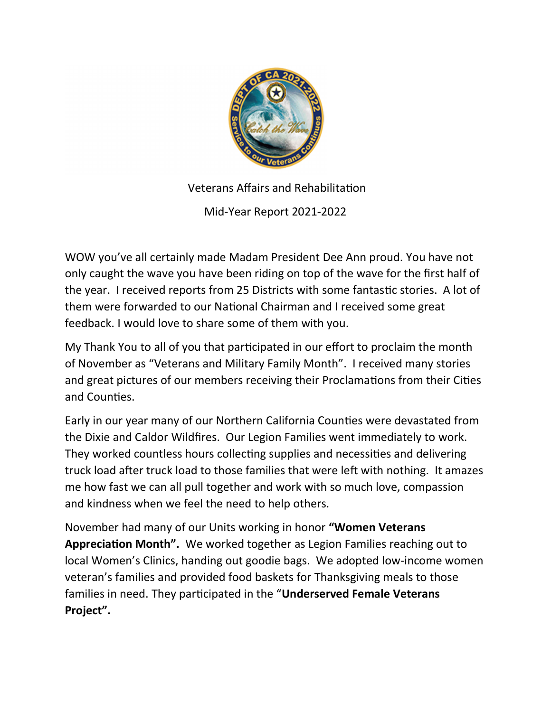

Veterans Affairs and Rehabilitation

Mid-Year Report 2021-2022

WOW you've all certainly made Madam President Dee Ann proud. You have not only caught the wave you have been riding on top of the wave for the first half of the year. I received reports from 25 Districts with some fantastic stories. A lot of them were forwarded to our National Chairman and I received some great feedback. I would love to share some of them with you.

My Thank You to all of you that participated in our effort to proclaim the month of November as "Veterans and Military Family Month". I received many stories and great pictures of our members receiving their Proclamations from their Cities and Counties.

Early in our year many of our Northern California Counties were devastated from the Dixie and Caldor Wildfires. Our Legion Families went immediately to work. They worked countless hours collecting supplies and necessities and delivering truck load after truck load to those families that were left with nothing. It amazes me how fast we can all pull together and work with so much love, compassion and kindness when we feel the need to help others.

November had many of our Units working in honor "Women Veterans Appreciation Month". We worked together as Legion Families reaching out to local Women's Clinics, handing out goodie bags. We adopted low-income women veteran's families and provided food baskets for Thanksgiving meals to those families in need. They participated in the "Underserved Female Veterans Project".